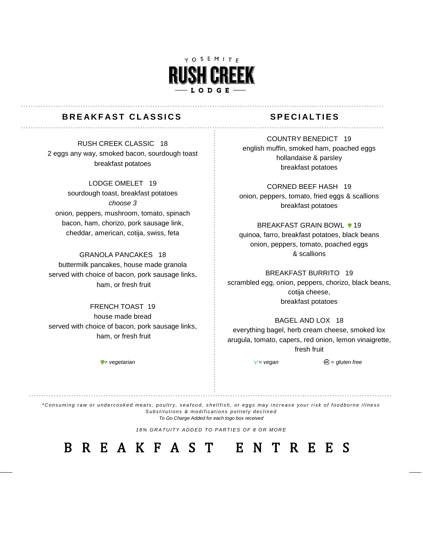

# **BREAKFAST CLASSICS** SPECIALTIES

. . . . . . . . . . . . . . . . . .

RUSH CREEK CLASSIC 18 2 eggs any way, smoked bacon, sourdough toast breakfast potatoes

## LODGE OMELET 19

sourdough toast, breakfast potatoes *choose 3*  onion, peppers, mushroom, tomato, spinach bacon, ham, chorizo, pork sausage link, cheddar, american, cotija, swiss, feta

### GRANOLA PANCAKES 18

buttermilk pancakes, house made granola served with choice of bacon, pork sausage links, ham, or fresh fruit

FRENCH TOAST 19 house made bread served with choice of bacon, pork sausage links, ham, or fresh fruit

COUNTRY BENEDICT 19 english muffin, smoked ham, poached eggs hollandaise & parsley breakfast potatoes

CORNED BEEF HASH 19 onion, peppers, tomato, fried eggs & scallions breakfast potatoes

BREAKFAST GRAIN BOWL **v** 19 quinoa, farro, breakfast potatoes, black beans onion, peppers, tomato, poached eggs & scallions

BREAKFAST BURRITO 19 scrambled egg, onion, peppers, chorizo, black beans, cotija cheese, breakfast potatoes

### BAGEL AND LOX 18

everything bagel, herb cream cheese, smoked lox arugula, tomato, capers, red onion, lemon vinaigrette, fresh fruit

 $\mathbb{V}$  = *vegetarian* = second =  $\mathbb{V}$  = *vegan*  $\mathbb{O}$  = *gluten free* 

*\* C o n s u mi n g r a w o r u n d e r c o o k e d me a t s , p o u l t r y , s e a f o o d , s h e l l f i s h , o r e g g s ma y i n c r e a s e y o u r r i s k o f f o o d b o r n e i l l n e s s* Substitutions & modifications politely declined *To Go Charge Added for each togo box received*

18% GRATUITY ADDED TO PARTIES OF 8 OR MORE

B R E A K F A S T E N T R E E S